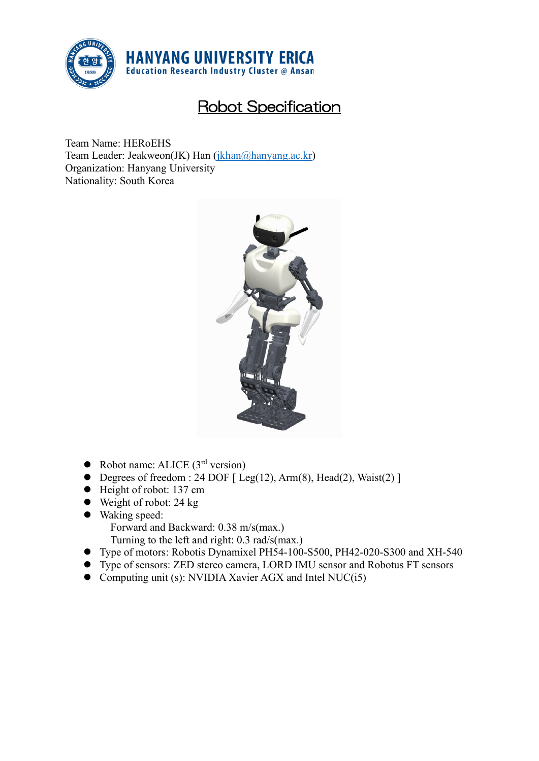

## Robot Specification

Team Name: HERoEHS Team Leader: Jeakweon(JK) Han [\(jkhan@hanyang.ac.kr\)](mailto:jkhan@hanyang.ac.kr) Organization: Hanyang University Nationality: South Korea



- $\bullet$  Robot name: ALICE (3<sup>rd</sup> version)
- Degrees of freedom : 24 DOF  $[$  Leg(12), Arm(8), Head(2), Waist(2)  $]$
- Height of robot: 137 cm
- $\bullet$  Weight of robot: 24 kg
- ⚫ Waking speed:
	- Forward and Backward: 0.38 m/s(max.)
	- Turning to the left and right: 0.3 rad/s(max.)
- ⚫ Type of motors: Robotis Dynamixel PH54-100-S500, PH42-020-S300 and XH-540
- ⚫ Type of sensors: ZED stereo camera, LORD IMU sensor and Robotus FT sensors
- ⚫ Computing unit (s): NVIDIA Xavier AGX and Intel NUC(i5)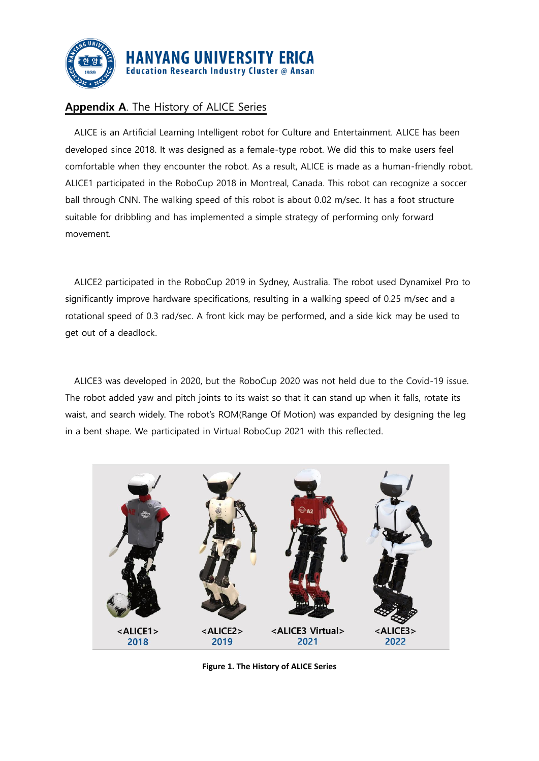

## **Appendix A**. The History of ALICE Series

ALICE is an Artificial Learning Intelligent robot for Culture and Entertainment. ALICE has been developed since 2018. It was designed as a female-type robot. We did this to make users feel comfortable when they encounter the robot. As a result, ALICE is made as a human-friendly robot. ALICE1 participated in the RoboCup 2018 in Montreal, Canada. This robot can recognize a soccer ball through CNN. The walking speed of this robot is about 0.02 m/sec. It has a foot structure suitable for dribbling and has implemented a simple strategy of performing only forward movement.

ALICE2 participated in the RoboCup 2019 in Sydney, Australia. The robot used Dynamixel Pro to significantly improve hardware specifications, resulting in a walking speed of 0.25 m/sec and a rotational speed of 0.3 rad/sec. A front kick may be performed, and a side kick may be used to get out of a deadlock.

ALICE3 was developed in 2020, but the RoboCup 2020 was not held due to the Covid-19 issue. The robot added yaw and pitch joints to its waist so that it can stand up when it falls, rotate its waist, and search widely. The robot's ROM(Range Of Motion) was expanded by designing the leg in a bent shape. We participated in Virtual RoboCup 2021 with this reflected.



**Figure 1. The History of ALICE Series**